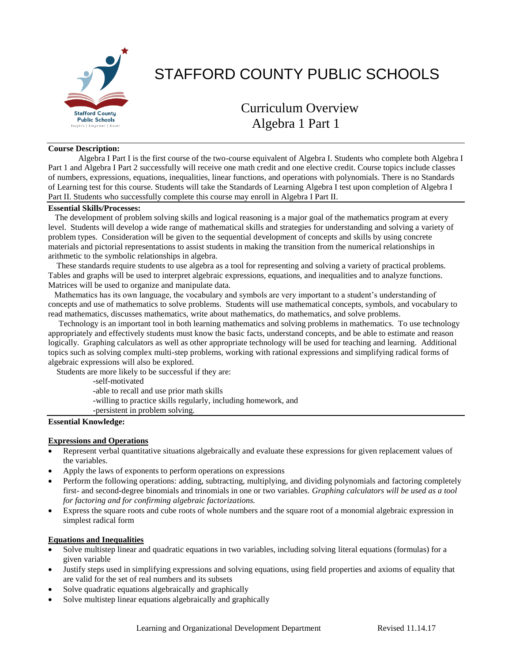

# STAFFORD COUNTY PUBLIC SCHOOLS

# Curriculum Overview Algebra 1 Part 1

#### **Course Description:**

Algebra I Part I is the first course of the two-course equivalent of Algebra I. Students who complete both Algebra I Part 1 and Algebra I Part 2 successfully will receive one math credit and one elective credit. Course topics include classes of numbers, expressions, equations, inequalities, linear functions, and operations with polynomials. There is no Standards of Learning test for this course. Students will take the Standards of Learning Algebra I test upon completion of Algebra I Part II. Students who successfully complete this course may enroll in Algebra I Part II.

# **Essential Skills/Processes:**

 The development of problem solving skills and logical reasoning is a major goal of the mathematics program at every level. Students will develop a wide range of mathematical skills and strategies for understanding and solving a variety of problem types. Consideration will be given to the sequential development of concepts and skills by using concrete materials and pictorial representations to assist students in making the transition from the numerical relationships in arithmetic to the symbolic relationships in algebra.

 These standards require students to use algebra as a tool for representing and solving a variety of practical problems. Tables and graphs will be used to interpret algebraic expressions, equations, and inequalities and to analyze functions. Matrices will be used to organize and manipulate data.

 Mathematics has its own language, the vocabulary and symbols are very important to a student's understanding of concepts and use of mathematics to solve problems. Students will use mathematical concepts, symbols, and vocabulary to read mathematics, discusses mathematics, write about mathematics, do mathematics, and solve problems.

 Technology is an important tool in both learning mathematics and solving problems in mathematics. To use technology appropriately and effectively students must know the basic facts, understand concepts, and be able to estimate and reason logically. Graphing calculators as well as other appropriate technology will be used for teaching and learning. Additional topics such as solving complex multi-step problems, working with rational expressions and simplifying radical forms of algebraic expressions will also be explored.

Students are more likely to be successful if they are:

-self-motivated

-able to recall and use prior math skills

- -willing to practice skills regularly, including homework, and
- -persistent in problem solving.

#### **Essential Knowledge:**

#### **Expressions and Operations**

- Represent verbal quantitative situations algebraically and evaluate these expressions for given replacement values of the variables.
- Apply the laws of exponents to perform operations on expressions
- Perform the following operations: adding, subtracting, multiplying, and dividing polynomials and factoring completely first- and second-degree binomials and trinomials in one or two variables. *Graphing calculators will be used as a tool for factoring and for confirming algebraic factorizations.*
- Express the square roots and cube roots of whole numbers and the square root of a monomial algebraic expression in simplest radical form

#### **Equations and Inequalities**

- Solve multistep linear and quadratic equations in two variables, including solving literal equations (formulas) for a given variable
- Justify steps used in simplifying expressions and solving equations, using field properties and axioms of equality that are valid for the set of real numbers and its subsets
- Solve quadratic equations algebraically and graphically
- Solve multistep linear equations algebraically and graphically